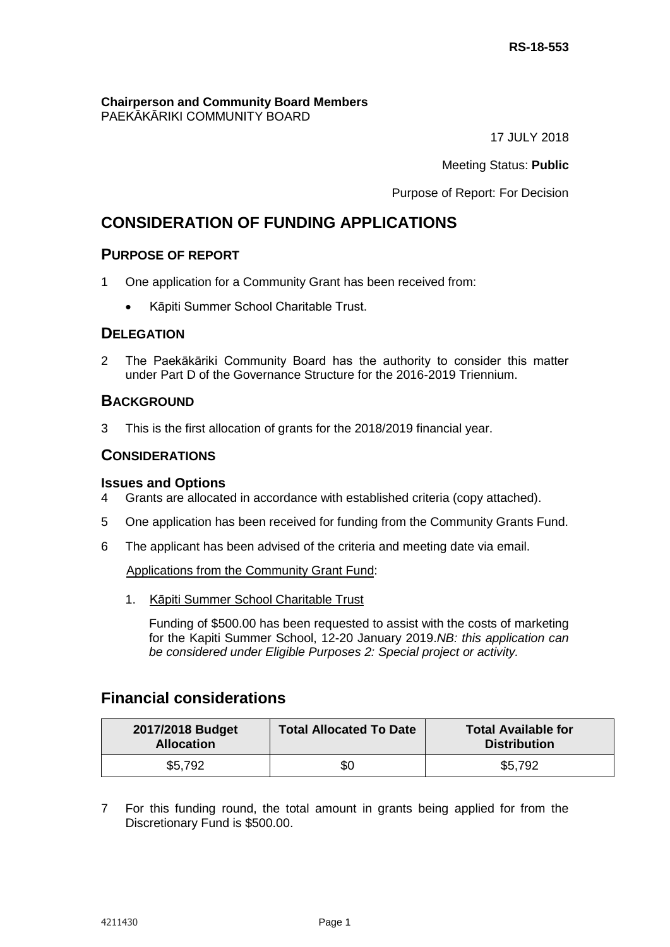**Chairperson and Community Board Members** PAEKĀKĀRIKI COMMUNITY BOARD

17 JULY 2018

Meeting Status: **Public**

Purpose of Report: For Decision

# **CONSIDERATION OF FUNDING APPLICATIONS**

## **PURPOSE OF REPORT**

- 1 One application for a Community Grant has been received from:
	- Kāpiti Summer School Charitable Trust.

# **DELEGATION**

2 The Paekākāriki Community Board has the authority to consider this matter under Part D of the Governance Structure for the 2016-2019 Triennium.

## **BACKGROUND**

3 This is the first allocation of grants for the 2018/2019 financial year.

## **CONSIDERATIONS**

#### **Issues and Options**

- 4 Grants are allocated in accordance with established criteria (copy attached).
- 5 One application has been received for funding from the Community Grants Fund.
- 6 The applicant has been advised of the criteria and meeting date via email.

Applications from the Community Grant Fund:

1. Kāpiti Summer School Charitable Trust

Funding of \$500.00 has been requested to assist with the costs of marketing for the Kapiti Summer School, 12-20 January 2019.*NB: this application can be considered under Eligible Purposes 2: Special project or activity.*

# **Financial considerations**

| 2017/2018 Budget<br><b>Allocation</b> | <b>Total Allocated To Date</b> | <b>Total Available for</b><br><b>Distribution</b> |
|---------------------------------------|--------------------------------|---------------------------------------------------|
| \$5,792                               | \$0                            | \$5,792                                           |

7 For this funding round, the total amount in grants being applied for from the Discretionary Fund is \$500.00.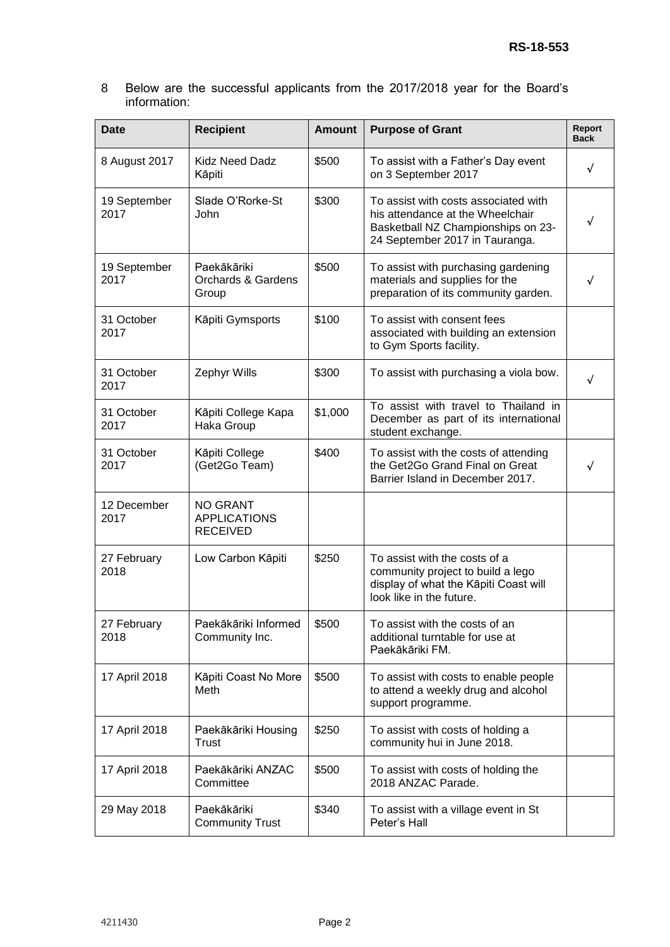8 Below are the successful applicants from the 2017/2018 year for the Board's information:

| <b>Date</b>          | <b>Recipient</b>                                          | <b>Amount</b> | <b>Purpose of Grant</b>                                                                                                                          | Report<br><b>Back</b> |
|----------------------|-----------------------------------------------------------|---------------|--------------------------------------------------------------------------------------------------------------------------------------------------|-----------------------|
| 8 August 2017        | <b>Kidz Need Dadz</b><br>Kāpiti                           | \$500         | To assist with a Father's Day event<br>on 3 September 2017                                                                                       | √                     |
| 19 September<br>2017 | Slade O'Rorke-St<br>John                                  | \$300         | To assist with costs associated with<br>his attendance at the Wheelchair<br>Basketball NZ Championships on 23-<br>24 September 2017 in Tauranga. | √                     |
| 19 September<br>2017 | Paekākāriki<br><b>Orchards &amp; Gardens</b><br>Group     | \$500         | To assist with purchasing gardening<br>materials and supplies for the<br>preparation of its community garden.                                    | √                     |
| 31 October<br>2017   | Kāpiti Gymsports                                          | \$100         | To assist with consent fees<br>associated with building an extension<br>to Gym Sports facility.                                                  |                       |
| 31 October<br>2017   | Zephyr Wills                                              | \$300         | To assist with purchasing a viola bow.                                                                                                           | √                     |
| 31 October<br>2017   | Kāpiti College Kapa<br>Haka Group                         | \$1,000       | To assist with travel to Thailand in<br>December as part of its international<br>student exchange.                                               |                       |
| 31 October<br>2017   | Kāpiti College<br>(Get2Go Team)                           | \$400         | To assist with the costs of attending<br>the Get2Go Grand Final on Great<br>Barrier Island in December 2017.                                     | √                     |
| 12 December<br>2017  | <b>NO GRANT</b><br><b>APPLICATIONS</b><br><b>RECEIVED</b> |               |                                                                                                                                                  |                       |
| 27 February<br>2018  | Low Carbon Kāpiti                                         | \$250         | To assist with the costs of a<br>community project to build a lego<br>display of what the Kāpiti Coast will<br>look like in the future.          |                       |
| 27 February<br>2018  | Paekākāriki Informed<br>Community Inc.                    | \$500         | To assist with the costs of an<br>additional turntable for use at<br>Paekākāriki FM.                                                             |                       |
| 17 April 2018        | Kāpiti Coast No More<br>Meth                              | \$500         | To assist with costs to enable people<br>to attend a weekly drug and alcohol<br>support programme.                                               |                       |
| 17 April 2018        | Paekākāriki Housing<br><b>Trust</b>                       | \$250         | To assist with costs of holding a<br>community hui in June 2018.                                                                                 |                       |
| 17 April 2018        | Paekākāriki ANZAC<br>Committee                            | \$500         | To assist with costs of holding the<br>2018 ANZAC Parade.                                                                                        |                       |
| 29 May 2018          | Paekākāriki<br><b>Community Trust</b>                     | \$340         | To assist with a village event in St<br>Peter's Hall                                                                                             |                       |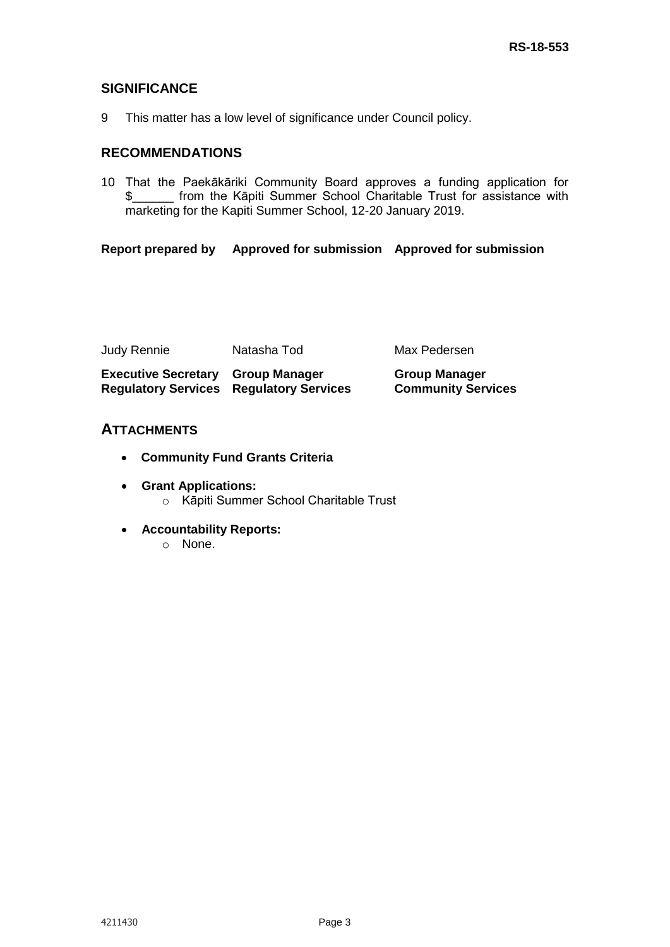# **SIGNIFICANCE**

9 This matter has a low level of significance under Council policy.

# **RECOMMENDATIONS**

10 That the Paekākāriki Community Board approves a funding application for \$\_\_\_\_\_\_ from the Kāpiti Summer School Charitable Trust for assistance with marketing for the Kapiti Summer School, 12-20 January 2019.

## **Report prepared by Approved for submission Approved for submission**

| Judy Rennie                                                                                | Natasha Tod | Max Pedersen                                      |
|--------------------------------------------------------------------------------------------|-------------|---------------------------------------------------|
| <b>Executive Secretary Group Manager</b><br><b>Regulatory Services Regulatory Services</b> |             | <b>Group Manager</b><br><b>Community Services</b> |

## **ATTACHMENTS**

- **Community Fund Grants Criteria**
- **Grant Applications:** o Kāpiti Summer School Charitable Trust
- **Accountability Reports:**
	- o None.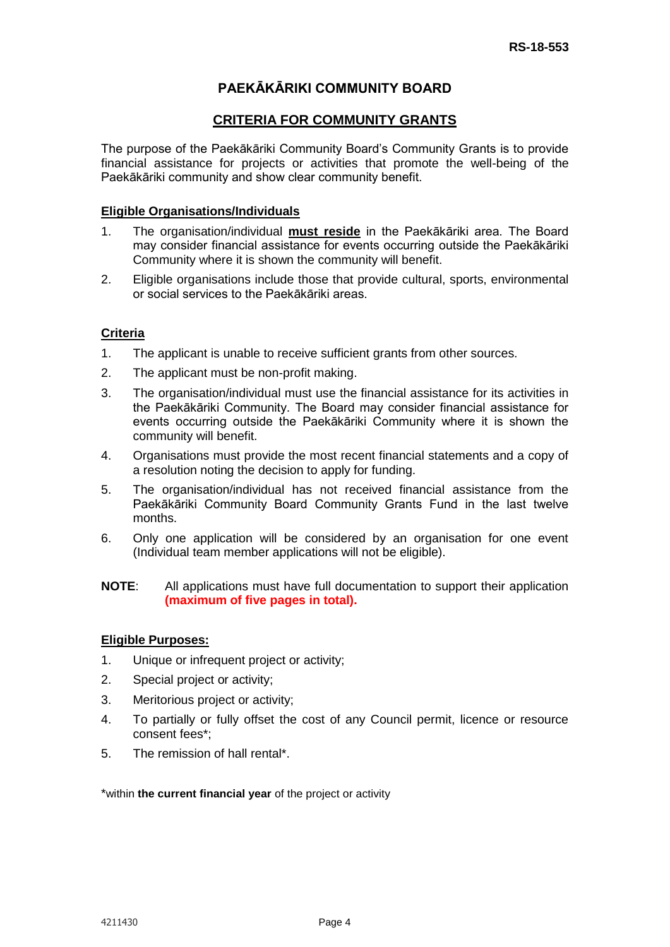# **PAEKĀKĀRIKI COMMUNITY BOARD**

## **CRITERIA FOR COMMUNITY GRANTS**

The purpose of the Paekākāriki Community Board's Community Grants is to provide financial assistance for projects or activities that promote the well-being of the Paekākāriki community and show clear community benefit.

#### **Eligible Organisations/Individuals**

- 1. The organisation/individual **must reside** in the Paekākāriki area. The Board may consider financial assistance for events occurring outside the Paekākāriki Community where it is shown the community will benefit.
- 2. Eligible organisations include those that provide cultural, sports, environmental or social services to the Paekākāriki areas.

## **Criteria**

- 1. The applicant is unable to receive sufficient grants from other sources.
- 2. The applicant must be non-profit making.
- 3. The organisation/individual must use the financial assistance for its activities in the Paekākāriki Community. The Board may consider financial assistance for events occurring outside the Paekākāriki Community where it is shown the community will benefit.
- 4. Organisations must provide the most recent financial statements and a copy of a resolution noting the decision to apply for funding.
- 5. The organisation/individual has not received financial assistance from the Paekākāriki Community Board Community Grants Fund in the last twelve months.
- 6. Only one application will be considered by an organisation for one event (Individual team member applications will not be eligible).

## **NOTE**: All applications must have full documentation to support their application **(maximum of five pages in total).**

#### **Eligible Purposes:**

- 1. Unique or infrequent project or activity;
- 2. Special project or activity;
- 3. Meritorious project or activity;
- 4. To partially or fully offset the cost of any Council permit, licence or resource consent fees\*;
- 5. The remission of hall rental\*.

\*within **the current financial year** of the project or activity